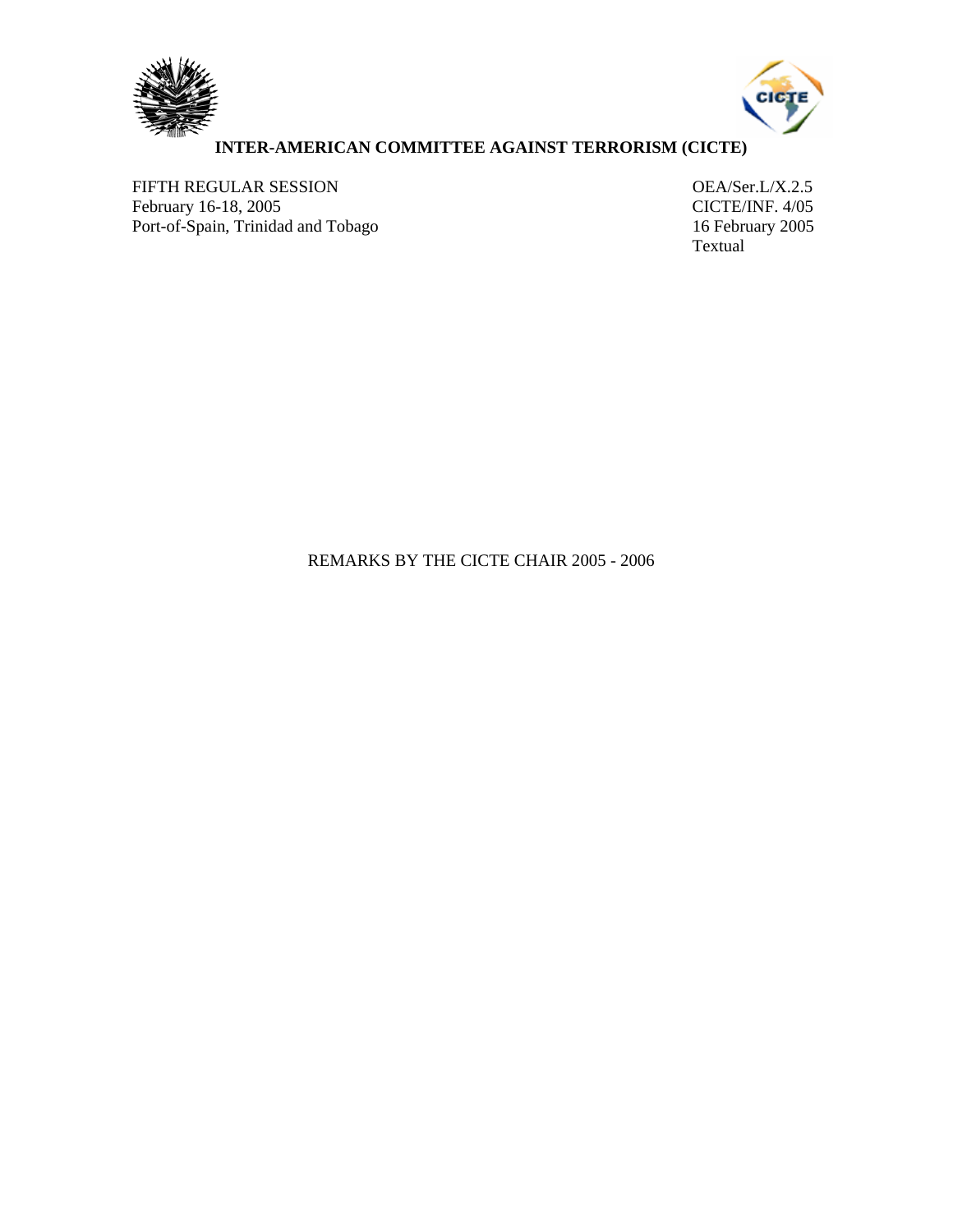



## **INTER-AMERICAN COMMITTEE AGAINST TERRORISM (CICTE)**

FIFTH REGULAR SESSION<br>
February 16-18, 2005<br>
CICTE/INF. 4/05 February 16-18, 2005<br>
Port-of-Spain, Trinidad and Tobago<br>
16 February 2005 Port-of-Spain, Trinidad and Tobago

Textual

## REMARKS BY THE CICTE CHAIR 2005 - 2006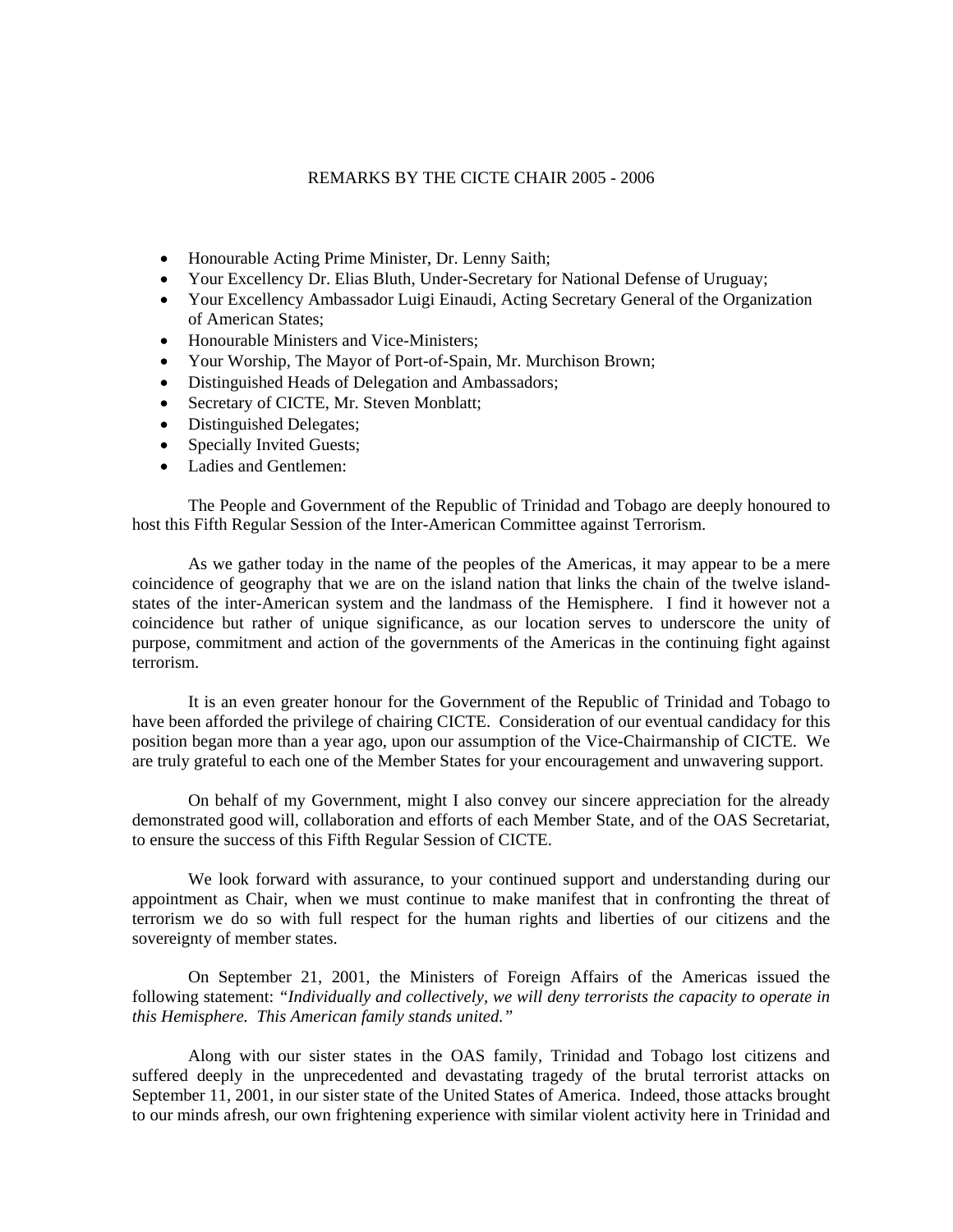## REMARKS BY THE CICTE CHAIR 2005 - 2006

- Honourable Acting Prime Minister, Dr. Lenny Saith;
- Your Excellency Dr. Elias Bluth, Under-Secretary for National Defense of Uruguay;
- Your Excellency Ambassador Luigi Einaudi, Acting Secretary General of the Organization of American States;
- Honourable Ministers and Vice-Ministers;
- Your Worship, The Mayor of Port-of-Spain, Mr. Murchison Brown;
- Distinguished Heads of Delegation and Ambassadors;
- Secretary of CICTE, Mr. Steven Monblatt;
- Distinguished Delegates;
- Specially Invited Guests;
- Ladies and Gentlemen:

The People and Government of the Republic of Trinidad and Tobago are deeply honoured to host this Fifth Regular Session of the Inter-American Committee against Terrorism.

As we gather today in the name of the peoples of the Americas, it may appear to be a mere coincidence of geography that we are on the island nation that links the chain of the twelve islandstates of the inter-American system and the landmass of the Hemisphere. I find it however not a coincidence but rather of unique significance, as our location serves to underscore the unity of purpose, commitment and action of the governments of the Americas in the continuing fight against terrorism.

It is an even greater honour for the Government of the Republic of Trinidad and Tobago to have been afforded the privilege of chairing CICTE. Consideration of our eventual candidacy for this position began more than a year ago, upon our assumption of the Vice-Chairmanship of CICTE. We are truly grateful to each one of the Member States for your encouragement and unwavering support.

On behalf of my Government, might I also convey our sincere appreciation for the already demonstrated good will, collaboration and efforts of each Member State, and of the OAS Secretariat, to ensure the success of this Fifth Regular Session of CICTE.

We look forward with assurance, to your continued support and understanding during our appointment as Chair, when we must continue to make manifest that in confronting the threat of terrorism we do so with full respect for the human rights and liberties of our citizens and the sovereignty of member states.

On September 21, 2001, the Ministers of Foreign Affairs of the Americas issued the following statement: *"Individually and collectively, we will deny terrorists the capacity to operate in this Hemisphere. This American family stands united."*

Along with our sister states in the OAS family, Trinidad and Tobago lost citizens and suffered deeply in the unprecedented and devastating tragedy of the brutal terrorist attacks on September 11, 2001, in our sister state of the United States of America. Indeed, those attacks brought to our minds afresh, our own frightening experience with similar violent activity here in Trinidad and